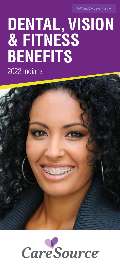*MARKETPLACE*

# **DENTAL, VISION & FITNESS BENEFITS**  2022 Indiana



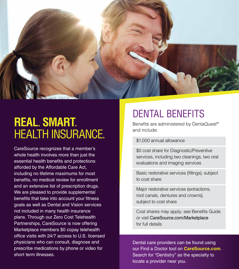

## **REAL**. **SMART**. HEALTH INSURANCE.

- office visits with 24/7 access to U.S. licensed - short term illnesses. CareSource recognizes that a member's whole health involves more than just the essential health benefits and protections afforded by the Affordable Care Act, including no lifetime maximums for most benefits, no medical review for enrollment and an extensive list of prescription drugs. We are pleased to provide supplemental benefits that take into account your fitness goals as well as Dental and Vision services not included in many health insurance plans. Through our Zero Cost Telehealth Partnerships, CareSource is now offering Marketplace members \$0 copay telehealth physicians who can consult, diagnose and prescribe medications by phone or video for

### DENTAL BENEFITS

Benefits are administered by DentaQuest® and include:

#### \$1,000 annual allowance

\$0 cost share for Diagnostic/Preventive services, including two cleanings, two oral evaluations and imaging services

Basic restorative services (fillings), subject to cost share

Major restorative services (extractions, root canals, dentures and crowns), subject to cost share

 or visit [CareSource.com/Marketplace](https://CareSource.com/Marketplace) Cost shares may apply; see Benefits Guide for full details

Dental care providers can be found using our Find a Doctor tool on **[CareSource.com](https://CareSource.com)**. Search for "Dentistry" as the specialty to locate a provider near you.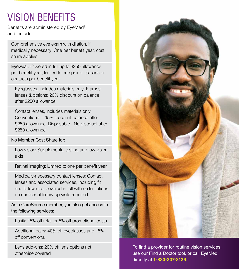## VISION BENEFITS

Benefits are administered by EyeMed® and include:

Comprehensive eye exam with dilation, if medically necessary: One per benefit year, cost share applies

Eyewear: Covered in full up to \$250 allowance per benefit year, limited to one pair of glasses or contacts per benefit year

Eyeglasses, includes materials only: Frames, lenses & options: 20% discount on balance after \$250 allowance

Contact lenses, includes materials only: Conventional – 15% discount balance after \$250 allowance; Disposable - No discount after \$250 allowance

#### No Member Cost Share for:

Low vision: Supplemental testing and low-vision aids

Retinal imaging: Limited to one per benefit year

Medically-necessary contact lenses: Contact lenses and associated services, including fit and follow-ups, covered in full with no limitations on number of follow-up visits required

As a CareSource member, you also get access to the following services:

Lasik: 15% off retail or 5% off promotional costs

Additional pairs: 40% off eyeglasses and 15% off conventional

Lens add-ons: 20% off lens options not otherwise covered



To find a provider for routine vision services, use our Find a Doctor tool, or call EyeMed directly at **1-833-337-3129**.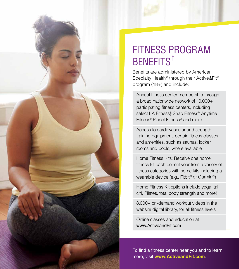

### FITNESS PROGRAM BENEFITS†

Benefits are administered by American Specialty Health® through their Active&Fit® program (18+) and include:

Annual fitness center membership through a broad nationwide network of 10,000+ participating fitness centers, including select LA Fitness®, Snap Fitness™, Anytime Fitness®, Planet Fitness® and more

Access to cardiovascular and strength training equipment, certain fitness classes and amenities, such as saunas, locker rooms and pools, where available

Home Fitness Kits: Receive one home fitness kit each benefit year from a variety of fitness categories with some kits including a wearable device (e.g., Fitbit® or Garmin®)

Home Fitness Kit options include yoga, tai chi, Pilates, total body strength and more!

8,000+ on-demand workout videos in the website digital library, for all fitness levels

Online classes and education at www.ActiveandFit.com

To find a fitness center near you and to learn more, visit **www.ActiveandFit.com**.